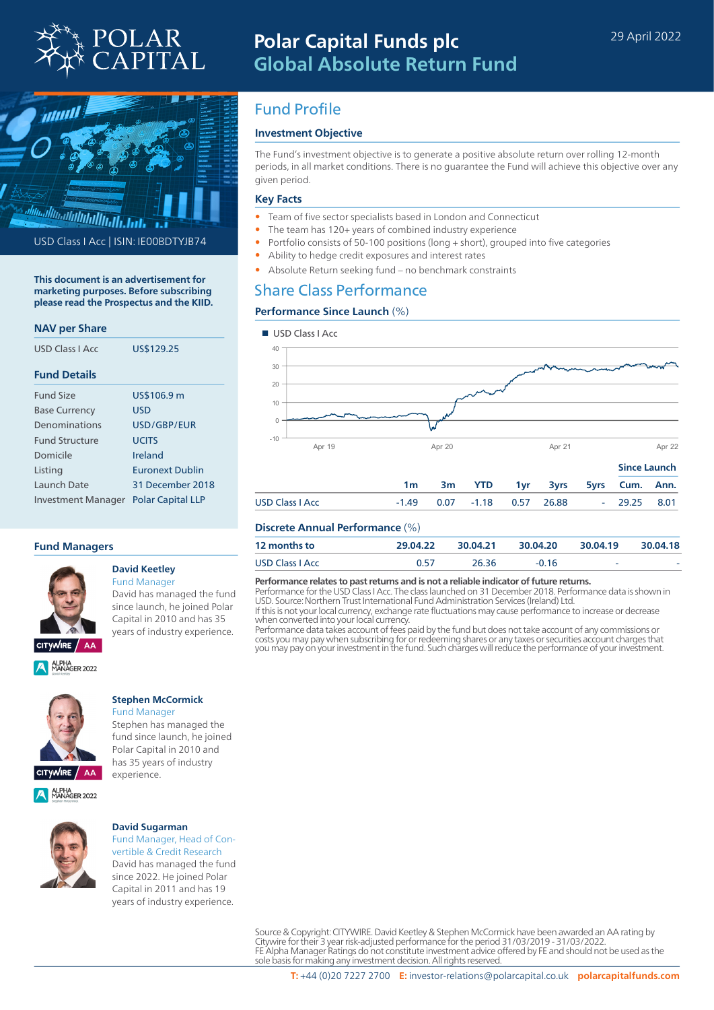



USD Class I Acc | ISIN: IE00BDTYJB74

**This document is an advertisement for marketing purposes. Before subscribing please read the Prospectus and the KIID.**

## **NAV per Share**

| USD Class LAcc        | US\$129.25               |  |  |  |
|-----------------------|--------------------------|--|--|--|
| <b>Fund Details</b>   |                          |  |  |  |
| <b>Fund Size</b>      | US\$106.9 m              |  |  |  |
| <b>Base Currency</b>  | USD                      |  |  |  |
| Denominations         | USD/GBP/FUR              |  |  |  |
| <b>Fund Structure</b> | <b>UCITS</b>             |  |  |  |
| Domicile              | Ireland                  |  |  |  |
| Listing               | <b>Furonext Dublin</b>   |  |  |  |
| Launch Date           | 31 December 2018         |  |  |  |
| Investment Manager    | <b>Polar Capital LLP</b> |  |  |  |

## **Fund Managers**



### **David Keetley** Fund Manager

David has managed the fund since launch, he joined Polar Capital in 2010 and has 35 years of industry experience.



# **Stephen McCormick**

Fund Manager Stephen has managed the fund since launch, he joined Polar Capital in 2010 and has 35 years of industry experience.



ALPHA<br>MANAGER 2022

#### **David Sugarman** Fund Manager, Head of Con-

vertible & Credit Research David has managed the fund since 2022. He joined Polar Capital in 2011 and has 19 years of industry experience.

# Fund Profile

# **Investment Objective**

The Fund's investment objective is to generate a positive absolute return over rolling 12-month periods, in all market conditions. There is no guarantee the Fund will achieve this objective over any given period.

# **Key Facts**

- Team of five sector specialists based in London and Connecticut
- The team has 120+ years of combined industry experience
- Portfolio consists of 50-100 positions (long + short), grouped into five categories
- Ability to hedge credit exposures and interest rates
- Absolute Return seeking fund no benchmark constraints

# Share Class Performance

## **Performance Since Launch** (%)



# **Discrete Annual Performance** (%)

| <b>12 months to</b> | 29.04.22 | 30.04.21 | 30.04.20 | 30.04.19 | 30.04.18 |
|---------------------|----------|----------|----------|----------|----------|
| USD Class I Acc     | 0.57     | 26 36    | $-0.16$  | -        | -        |

#### **Performance relates to past returns and is not a reliable indicator of future returns.**

Performance for the USD Class I Acc. The class launched on 31 December 2018. Performance data is shown in USD. Source: Northern Trust International Fund Administration Services (Ireland) Ltd.

If this is not your local currency, exchange rate fluctuations may cause performance to increase or decrease when converted into your local currency.

Performance data takes account of fees paid by the fund but does not take account of any commissions or costs you may pay when subscribing for or redeeming shares or any taxes or securities account charges that you may pay on your investment in the fund. Such charges will reduce the performance of your investment.

Source & Copyright: CITYWIRE. David Keetley & Stephen McCormick have been awarded an AA rating by Citywire for their 3 year risk-adjusted performance for the period 31/03/2019 - 31/03/2022. FE Alpha Manager Ratings do not constitute investment advice offered by FE and should not be used as the sole basis for making any investment decision. All rights reserved.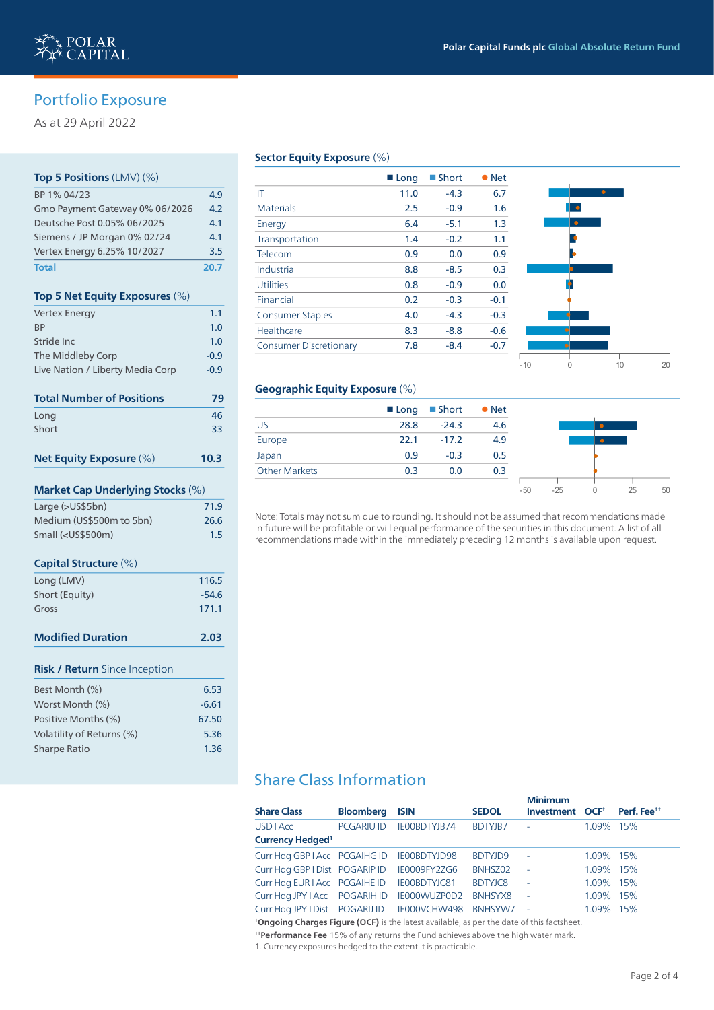# Portfolio Exposure

As at 29 April 2022

# **Top 5 Positions** (LMV) (%) BP 1% 04/23 4.9 Gmo Payment Gateway 0% 06/2026 4.2 Deutsche Post 0.05% 06/2025 4.1 Siemens / JP Morgan 0% 02/24 4.1 Vertex Energy 6.25% 10/2027 3.5 **Total 20.7 Top 5 Net Equity Exposures** (%) Vertex Energy 1.1 BP  $\sim$  1.0 Stride Inc **1.0** The Middleby Corp **1999** -0.9 Live Nation / Liberty Media Corp -0.9 **Total Number of Positions 79** Long 46 Short 33 (1999) 1999 - Short 33 (1999) 1999 - Short 33 **Net Equity Exposure** (%) **10.3 Market Cap Underlying Stocks** (%) Large (>US\$5bn) 71.9 Medium (US\$500m to 5bn) 26.6 Small (<US\$500m) 1.5 **Capital Structure** (%) Long (LMV) 116.5 Short (Equity) 3.54.6 Gross 171.1 **Modified Duration 2.03 Risk / Return** Since Inception Best Month (%) 6.53 Worst Month  $\left(\% \right)$  -6.61 Positive Months (%) 67.50 Volatility of Returns (%) 5.36 Sharpe Ratio 1.36

# **Sector Equity Exposure** (%)

|                               | ■ Long | $\blacksquare$ Short | <b>Net</b> |  |
|-------------------------------|--------|----------------------|------------|--|
| IT                            | 11.0   | $-4.3$               | 6.7        |  |
| <b>Materials</b>              | 2.5    | $-0.9$               | 1.6        |  |
| Energy                        | 6.4    | $-5.1$               | 1.3        |  |
| Transportation                | 1.4    | $-0.2$               | 1.1        |  |
| Telecom                       | 0.9    | 0.0                  | 0.9        |  |
| Industrial                    | 8.8    | $-8.5$               | 0.3        |  |
| <b>Utilities</b>              | 0.8    | $-0.9$               | 0.0        |  |
| Financial                     | 0.2    | $-0.3$               | $-0.1$     |  |
| <b>Consumer Staples</b>       | 4.0    | $-4.3$               | $-0.3$     |  |
| Healthcare                    | 8.3    | $-8.8$               | $-0.6$     |  |
| <b>Consumer Discretionary</b> | 7.8    | $-8.4$               | $-0.7$     |  |
|                               |        |                      |            |  |



#### **Geographic Equity Exposure** (%)

|                      |      | $\blacksquare$ Long $\blacksquare$ Short $\blacksquare$ Net |     |       |       |    |    |
|----------------------|------|-------------------------------------------------------------|-----|-------|-------|----|----|
| <b>US</b>            | 28.8 | $-24.3$                                                     | 4.6 |       |       |    |    |
| Europe               | 22.1 | $-17.2$                                                     | 4.9 |       |       |    |    |
| Japan                | 0.9  | $-0.3$                                                      | 0.5 |       |       |    |    |
| <b>Other Markets</b> | 0.3  | 0.0                                                         | 0.3 |       |       |    |    |
|                      |      |                                                             |     | $-50$ | $-25$ | 25 | 50 |

Note: Totals may not sum due to rounding. It should not be assumed that recommendations made in future will be profitable or will equal performance of the securities in this document. A list of all recommendations made within the immediately preceding 12 months is available upon request.

# Share Class Information

|                                             |                   |                     |                | <b>Minimum</b>              |           |                         |
|---------------------------------------------|-------------------|---------------------|----------------|-----------------------------|-----------|-------------------------|
| <b>Share Class</b>                          | <b>Bloomberg</b>  | <b>ISIN</b>         | <b>SEDOL</b>   | Investment OCF <sup>+</sup> |           | Perf. Fee <sup>tt</sup> |
| <b>USD   Acc</b>                            | <b>PCGARIU ID</b> | IE00BDTYJB74        | <b>BDTYJB7</b> | ٠                           | 1.09% 15% |                         |
| <b>Currency Hedged<sup>1</sup></b>          |                   |                     |                |                             |           |                         |
| Curr Hdg GBP   Acc PCGAIHG ID IE00BDTYJD98  |                   |                     | <b>BDTYJD9</b> | $\sim$ $-$                  | 1.09% 15% |                         |
| Curr Hdg GBP I Dist POGARIP ID              |                   | <b>IE0009FY2ZG6</b> | BNHSZ02        | $\sim$                      | 1.09% 15% |                         |
| Curr Hdg EUR I Acc PCGAIHE ID               |                   | IE00BDTYJC81        | <b>BDTYJC8</b> | $\sim$                      | 1.09% 15% |                         |
| Curr Hdg JPY I Acc POGARIH ID IE000WUZP0D2  |                   |                     | BNHSYX8        | $\sim$                      | 1.09% 15% |                         |
| Curr Hdg JPY I Dist POGARIJ ID IE000VCHW498 |                   |                     | BNHSYW7        | $\sim$                      | 1.09% 15% |                         |
|                                             |                   |                     |                |                             |           |                         |

**† Ongoing Charges Figure (OCF)** is the latest available, as per the date of this factsheet.

**† † Performance Fee** 15% of any returns the Fund achieves above the high water mark.

1. Currency exposures hedged to the extent it is practicable.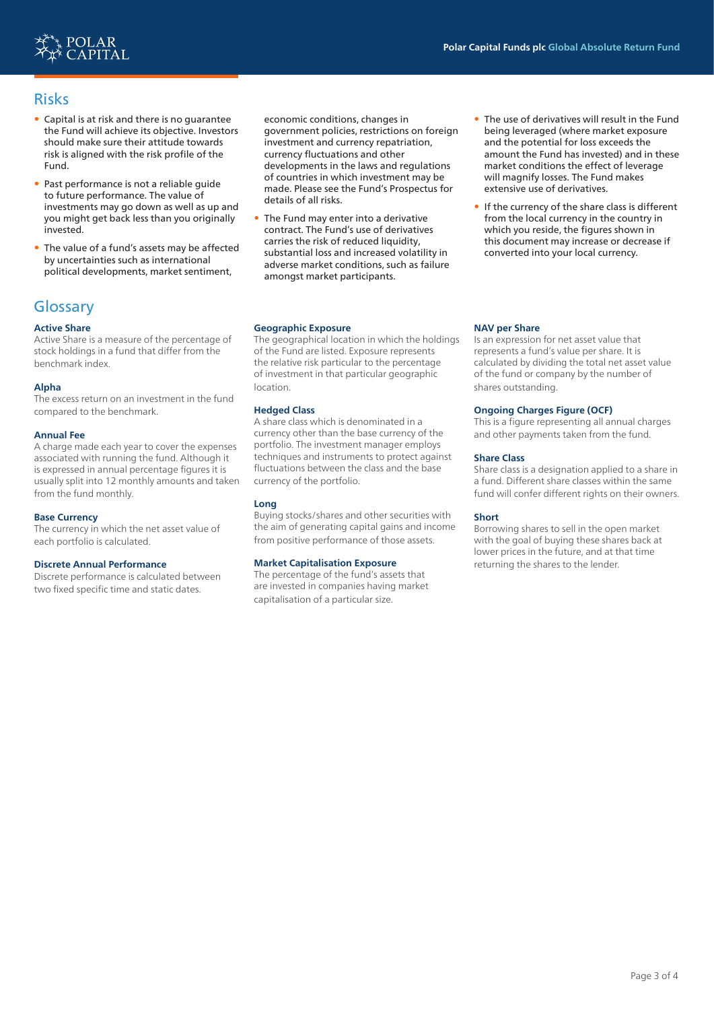

# Risks

- Capital is at risk and there is no guarantee the Fund will achieve its objective. Investors should make sure their attitude towards risk is aligned with the risk profile of the Fund.
- Past performance is not a reliable guide to future performance. The value of investments may go down as well as up and you might get back less than you originally invested.
- The value of a fund's assets may be affected by uncertainties such as international political developments, market sentiment,

# **Glossary**

# **Active Share**

Active Share is a measure of the percentage of stock holdings in a fund that differ from the benchmark index.

# **Alpha**

The excess return on an investment in the fund compared to the benchmark.

#### **Annual Fee**

A charge made each year to cover the expenses associated with running the fund. Although it is expressed in annual percentage figures it is usually split into 12 monthly amounts and taken from the fund monthly.

#### **Base Currency**

The currency in which the net asset value of each portfolio is calculated.

#### **Discrete Annual Performance**

Discrete performance is calculated between two fixed specific time and static dates.

economic conditions, changes in government policies, restrictions on foreign investment and currency repatriation, currency fluctuations and other developments in the laws and regulations of countries in which investment may be made. Please see the Fund's Prospectus for details of all risks.

• The Fund may enter into a derivative contract. The Fund's use of derivatives carries the risk of reduced liquidity, substantial loss and increased volatility in adverse market conditions, such as failure amongst market participants.

#### **Geographic Exposure**

The geographical location in which the holdings of the Fund are listed. Exposure represents the relative risk particular to the percentage of investment in that particular geographic location.

## **Hedged Class**

A share class which is denominated in a currency other than the base currency of the portfolio. The investment manager employs techniques and instruments to protect against fluctuations between the class and the base currency of the portfolio.

## **Long**

Buying stocks/shares and other securities with the aim of generating capital gains and income from positive performance of those assets.

## **Market Capitalisation Exposure**

The percentage of the fund's assets that are invested in companies having market capitalisation of a particular size.

- The use of derivatives will result in the Fund being leveraged (where market exposure and the potential for loss exceeds the amount the Fund has invested) and in these market conditions the effect of leverage will magnify losses. The Fund makes extensive use of derivatives.
- If the currency of the share class is different from the local currency in the country in which you reside, the figures shown in this document may increase or decrease if converted into your local currency.

## **NAV per Share**

Is an expression for net asset value that represents a fund's value per share. It is calculated by dividing the total net asset value of the fund or company by the number of shares outstanding.

## **Ongoing Charges Figure (OCF)**

This is a figure representing all annual charges and other payments taken from the fund.

## **Share Class**

Share class is a designation applied to a share in a fund. Different share classes within the same fund will confer different rights on their owners.

#### **Short**

Borrowing shares to sell in the open market with the goal of buying these shares back at lower prices in the future, and at that time returning the shares to the lender.